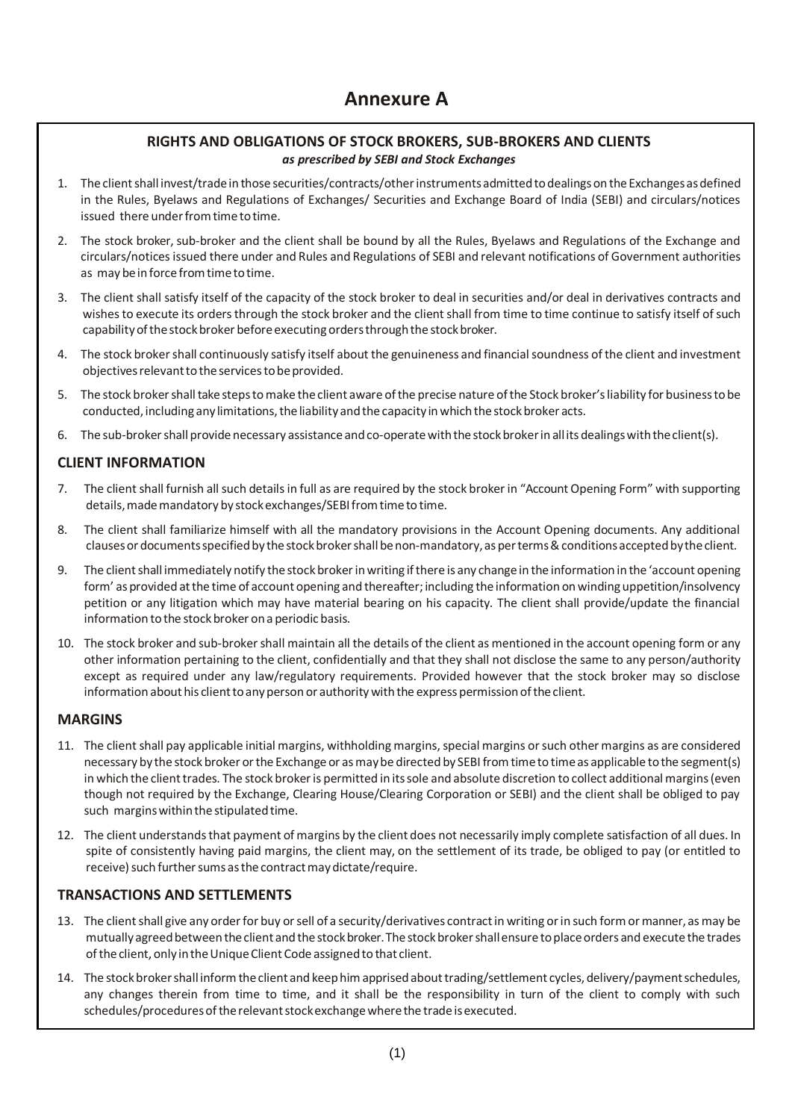### **RIGHTS AND OBLIGATIONS OF STOCK BROKERS, SUB-BROKERS AND CLIENTS** *as prescribed by SEBI and Stock Exchanges*

- 1. The client shall invest/trade in those securities/contracts/other instruments admitted to dealings on the Exchanges as defined in the Rules, Byelaws and Regulations of Exchanges/ Securities and Exchange Board of India (SEBI) and circulars/notices issued there under from time to time.
- 2. The stock broker, sub-broker and the client shall be bound by all the Rules, Byelaws and Regulations of the Exchange and circulars/noticesissued there under and Rules and Regulations of SEBI and relevant notifications of Government authorities as may be in force from time to time.
- 3. The client shall satisfy itself of the capacity of the stock broker to deal in securities and/or deal in derivatives contracts and wishes to execute its orders through the stock broker and the client shall from time to time continue to satisfy itself of such capability of the stock broker before executing orders through the stock broker.
- 4. The stock brokershall continuously satisfy itself about the genuineness and financialsoundness of the client and investment objectives relevant to the services to be provided.
- 5. The stock brokershalltakestepstomake theclient aware ofthe precise nature ofthe Stock broker'sliability for businesstobe conducted, including any limitations, the liability and the capacity in which the stock broker acts.
- 6. The sub-broker shall provide necessary assistance and co-operate with the stock broker in all its dealings with the client(s).

# **CLIENT INFORMATION**

- 7. The client shall furnish all such details in full as are required by the stock broker in "Account Opening Form" with supporting details, made mandatory by stock exchanges/SEBI from time to time.
- 8. The client shall familiarize himself with all the mandatory provisions in the Account Opening documents. Any additional clauses or documents specified by the stock broker shall be non-mandatory, as per terms & conditions accepted by the client.
- 9. The clientshall immediately notify the stock brokerinwriting ifthere is any change in the information in the 'account opening form' as provided at the time of account opening and thereafter; including the information on winding uppetition/insolvency petition or any litigation which may have material bearing on his capacity. The client shall provide/update the financial information to the stock broker on a periodic basis.
- 10. The stock broker and sub-brokershall maintain all the details of the client as mentioned in the account opening form or any other information pertaining to the client, confidentially and that they shall not disclose the same to any person/authority except as required under any law/regulatory requirements. Provided however that the stock broker may so disclose information about his client to any person or authority with the express permission of the client.

#### **MARGINS**

- 11. The client shall pay applicable initial margins, withholding margins, special margins or such other margins as are considered necessary by the stock broker or the Exchange or as may be directed by SEBI from time to time as applicable to the segment(s) in which the client trades. The stock broker is permitted in its sole and absolute discretion to collect additional margins (even though not required by the Exchange, Clearing House/Clearing Corporation or SEBI) and the client shall be obliged to pay such margins within the stipulated time.
- 12. The client understandsthat payment of margins by the client does not necessarily imply complete satisfaction of all dues. In spite of consistently having paid margins, the client may, on the settlement of its trade, be obliged to pay (or entitled to receive) such further sums as the contract may dictate/require.

#### **TRANSACTIONS AND SETTLEMENTS**

- 13. The client shall give any order for buy or sell of a security/derivatives contract in writing or in such form or manner, as may be mutually agreed between the client and the stock broker. The stock broker shall ensure to place orders and execute the trades of the client, only in the Unique Client Code assigned to that client.
- 14. The stock broker shall inform the client and keep him apprised about trading/settlement cycles, delivery/payment schedules, any changes therein from time to time, and it shall be the responsibility in turn of the client to comply with such schedules/procedures of the relevant stock exchange where the trade is executed.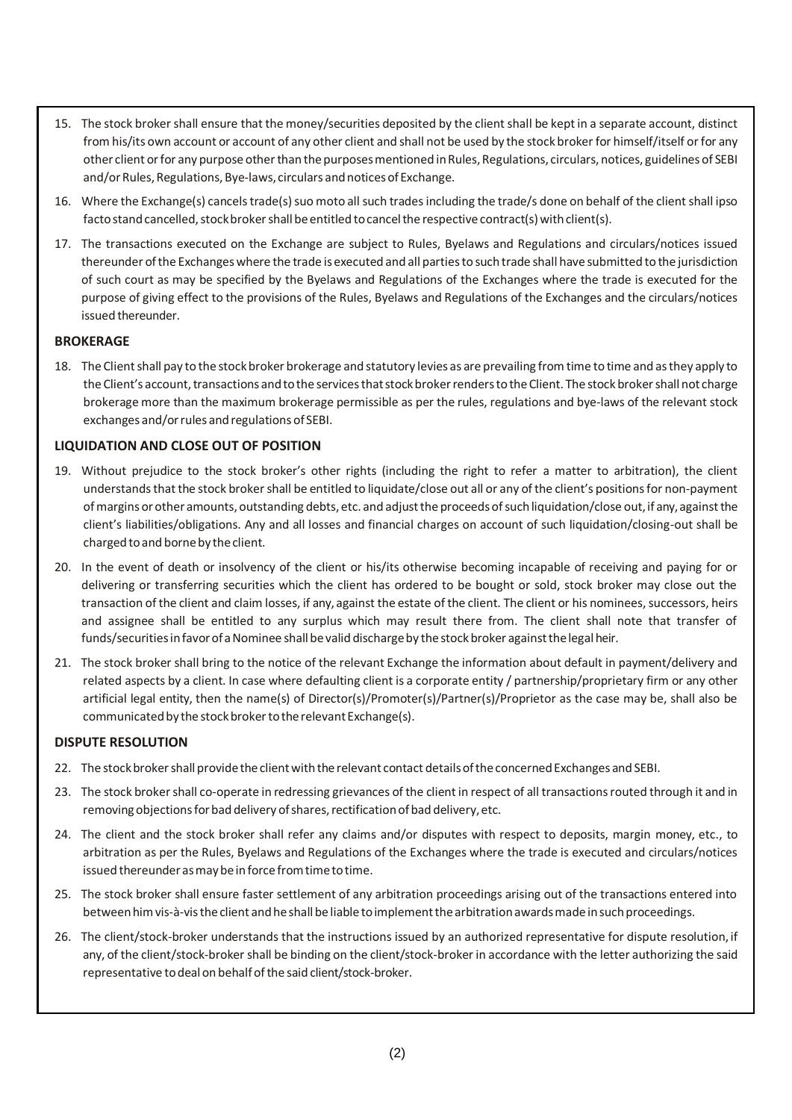- 15. The stock broker shall ensure that the money/securities deposited by the client shall be kept in a separate account, distinct from his/its own account or account of any other client and shall not be used by the stock broker for himself/itself or for any other client or for any purpose other than the purposes mentioned in Rules, Regulations, circulars, notices, guidelines of SEBI and/or Rules, Regulations, Bye-laws, circulars and notices of Exchange.
- 16. Where the Exchange(s) cancels trade(s) suo moto all such trades including the trade/s done on behalf of the client shall ipso facto stand cancelled, stock broker shall be entitled to cancel the respective contract(s) with client(s).
- 17. The transactions executed on the Exchange are subject to Rules, Byelaws and Regulations and circulars/notices issued thereunder ofthe Exchangeswhere the trade is executed and all partiesto such trade shall have submitted to the jurisdiction of such court as may be specified by the Byelaws and Regulations of the Exchanges where the trade is executed for the purpose of giving effect to the provisions of the Rules, Byelaws and Regulations of the Exchanges and the circulars/notices issued thereunder.

#### **BROKERAGE**

18. The Client shall pay to the stock broker brokerage and statutory levies as are prevailing from time to time and as they apply to the Client's account, transactions and to the services that stock broker renders to the Client. The stock broker shall not charge brokerage more than the maximum brokerage permissible as per the rules, regulations and bye-laws of the relevant stock exchanges and/or rules and regulations of SEBI.

### **LIQUIDATION AND CLOSE OUT OF POSITION**

- 19. Without prejudice to the stock broker's other rights (including the right to refer a matter to arbitration), the client understands that the stock broker shall be entitled to liquidate/close out all or any of the client's positions for non-payment ofmargins orother amounts, outstanding debts, etc. and adjustthe proceeds ofsuchliquidation/close out,if any,againstthe client's liabilities/obligations. Any and all losses and financial charges on account of such liquidation/closing-out shall be charged to and borne by the client.
- 20. In the event of death or insolvency of the client or his/its otherwise becoming incapable of receiving and paying for or delivering or transferring securities which the client has ordered to be bought or sold, stock broker may close out the transaction of the client and claim losses, if any, against the estate of the client. The client or his nominees, successors, heirs and assignee shall be entitled to any surplus which may result there from. The client shall note that transfer of funds/securities in favor of a Nominee shall be valid discharge by the stock broker against the legal heir.
- 21. The stock broker shall bring to the notice of the relevant Exchange the information about default in payment/delivery and related aspects by a client. In case where defaulting client is a corporate entity / partnership/proprietary firm or any other artificial legal entity, then the name(s) of Director(s)/Promoter(s)/Partner(s)/Proprietor as the case may be, shall also be communicated by the stock broker to the relevant Exchange(s).

#### **DISPUTE RESOLUTION**

- 22. The stock broker shall provide the client with the relevant contact details of the concerned Exchanges and SEBI.
- 23. The stock broker shall co-operate in redressing grievances of the client in respect of all transactions routed through it and in removing objections for bad delivery of shares, rectification of bad delivery, etc.
- 24. The client and the stock broker shall refer any claims and/or disputes with respect to deposits, margin money, etc., to arbitration as per the Rules, Byelaws and Regulations of the Exchanges where the trade is executed and circulars/notices issued thereunder as may be in force from time to time.
- 25. The stock broker shall ensure faster settlement of any arbitration proceedings arising out of the transactions entered into between him vis-à-vis the client and he shall be liable to implement the arbitration awards made in such proceedings.
- 26. The client/stock-broker understands that the instructions issued by an authorized representative for dispute resolution, if any, of the client/stock-broker shall be binding on the client/stock-broker in accordance with the letter authorizing the said representative to deal on behalf of the said client/stock-broker.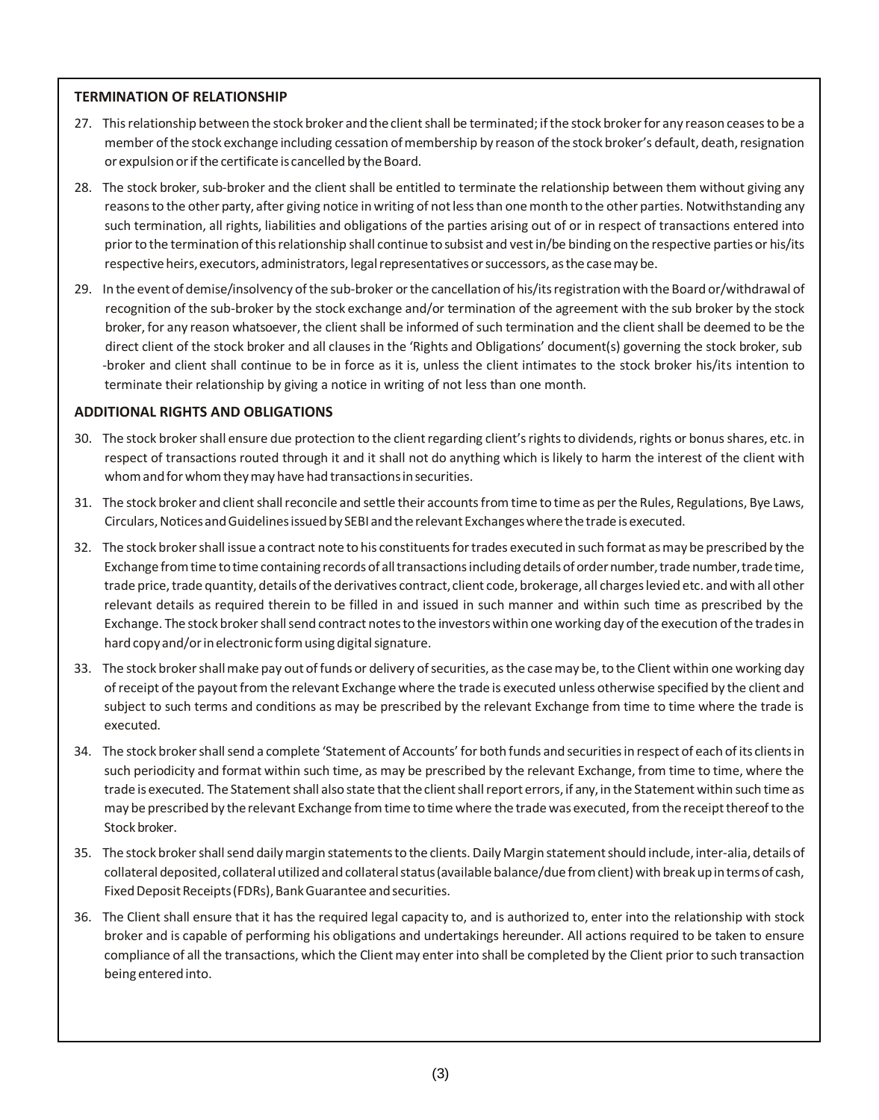#### **TERMINATION OF RELATIONSHIP**

- 27. This relationship between the stock broker and the client shall be terminated; if the stock broker for any reason ceases to be a member of the stock exchange including cessation of membership by reason of the stock broker's default, death, resignation or expulsion or if the certificate is cancelled by the Board.
- 28. The stock broker, sub-broker and the client shall be entitled to terminate the relationship between them without giving any reasons to the other party, after giving notice in writing of not less than one month to the other parties. Notwithstanding any such termination, all rights, liabilities and obligations of the parties arising out of or in respect of transactions entered into priorto the termination ofthisrelationship shall continue to subsist and vestin/be binding on the respective parties or his/its respective heirs, executors, administrators, legal representatives or successors, as the case may be.
- 29. In the event of demise/insolvency of the sub-broker or the cancellation of his/its registration with the Board or/withdrawal of recognition of the sub-broker by the stock exchange and/or termination of the agreement with the sub broker by the stock broker, for any reason whatsoever, the client shall be informed of such termination and the client shall be deemed to be the direct client of the stock broker and all clauses in the 'Rights and Obligations' document(s) governing the stock broker, sub -broker and client shall continue to be in force as it is, unless the client intimates to the stock broker his/its intention to terminate their relationship by giving a notice in writing of not less than one month.

#### **ADDITIONAL RIGHTS AND OBLIGATIONS**

- 30. The stock broker shall ensure due protection to the client regarding client's rights to dividends, rights or bonus shares, etc. in respect of transactions routed through it and it shall not do anything which is likely to harm the interest of the client with whom and for whom they may have had transactions in securities.
- 31. The stock broker and client shall reconcile and settle their accounts from time to time as per the Rules, Regulations, Bye Laws, Circulars, Notices and Guidelines issued by SEBI and the relevant Exchanges where the trade is executed.
- 32. The stock brokershall issue a contract note to his constituentsfortrades executed in such format asmay be prescribed by the Exchange from time to time containing records of all transactions including details of order number, trade number, trade time, trade price, trade quantity, details of the derivatives contract, client code, brokerage, all charges levied etc. and with all other relevant details as required therein to be filled in and issued in such manner and within such time as prescribed by the Exchange. The stock broker shall send contract notes to the investors within one working day of the execution of the trades in hard copy and/or in electronic form using digital signature.
- 33. The stock broker shall make pay out of funds or delivery of securities, as the case may be, to the Client within one working day ofreceipt of the payoutfrom the relevant Exchange where the trade is executed unless otherwise specified by the client and subject to such terms and conditions as may be prescribed by the relevant Exchange from time to time where the trade is executed.
- 34. The stock brokershallsend a complete 'Statement of Accounts' for both funds and securitiesin respect of each ofits clientsin such periodicity and format within such time, as may be prescribed by the relevant Exchange, from time to time, where the trade is executed. The Statement shall also state that the client shall report errors, if any, in the Statement within such time as may be prescribed by the relevant Exchange from time to time where the trade was executed, from the receipt thereof to the Stock broker.
- 35. The stock broker shall send daily margin statements to the clients. Daily Margin statement should include, inter-alia, details of collateral deposited, collateral utilized and collateral status (available balance/due from client) with break up in terms of cash, Fixed Deposit Receipts (FDRs), Bank Guarantee and securities.
- 36. The Client shall ensure that it has the required legal capacity to, and is authorized to, enter into the relationship with stock broker and is capable of performing his obligations and undertakings hereunder. All actions required to be taken to ensure compliance of all the transactions, which the Client may enter into shall be completed by the Client prior to such transaction being enteredinto.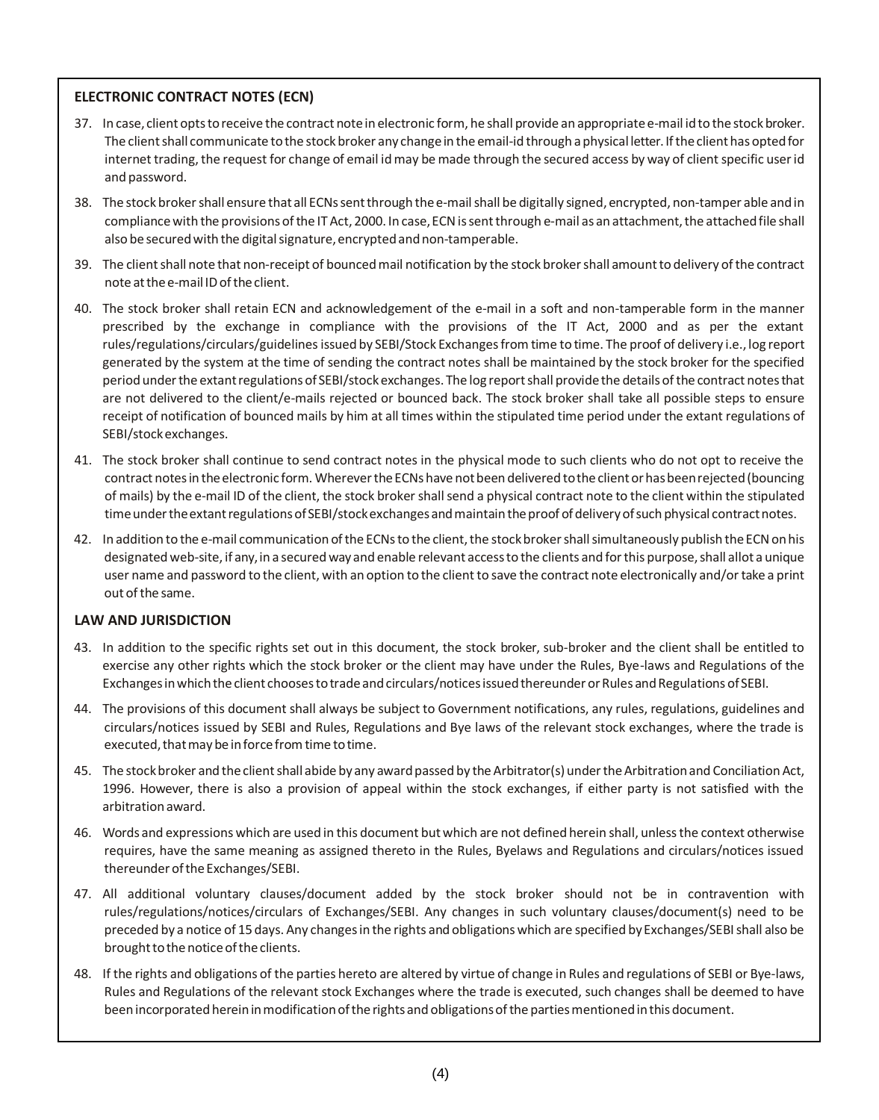### **ELECTRONIC CONTRACT NOTES (ECN)**

- 37. In case, client optstoreceive the contract notein electronic form, he shall provide an appropriate e-mail idto thestock broker. The client shall communicate to the stock broker any change in the email-id through a physical letter. If the client has opted for internet trading, the request for change of email id may be made through the secured access by way of client specific user id and password.
- 38. The stock brokershall ensure that all ECNssentthrough thee-mailshall be digitally signed, encrypted, non-tamper able andin compliance with the provisions of the IT Act, 2000. In case, ECN is sent through e-mail as an attachment, the attached file shall also be secured with the digital signature, encrypted and non-tamperable.
- 39. The clientshall note that non-receipt of bouncedmail notification by the stock brokershall amountto delivery ofthe contract note atthee-mail IDoftheclient.
- 40. The stock broker shall retain ECN and acknowledgement of the e-mail in a soft and non-tamperable form in the manner prescribed by the exchange in compliance with the provisions of the IT Act, 2000 and as per the extant rules/regulations/circulars/guidelinesissued by SEBI/Stock Exchangesfrom time to time. The proof of delivery i.e., log report generated by the system at the time of sending the contract notes shall be maintained by the stock broker for the specified period under the extant regulations of SEBI/stock exchanges. The log report shall provide the details of the contract notes that are not delivered to the client/e-mails rejected or bounced back. The stock broker shall take all possible steps to ensure receipt of notification of bounced mails by him at all times within the stipulated time period under the extant regulations of SEBI/stockexchanges.
- 41. The stock broker shall continue to send contract notes in the physical mode to such clients who do not opt to receive the contract notes in the electronic form. Wherever the ECNs have not been delivered to the client or has been rejected (bouncing of mails) by the e-mail ID of the client, the stock broker shallsend a physical contract note to the client within the stipulated time under the extant regulations of SEBI/stock exchanges and maintain the proof of delivery of such physical contract notes.
- 42. In addition to the e-mail communication of the ECNs to the client, the stock broker shall simultaneously publish the ECN on his designated web-site, if any,in a secured wayand enable relevant accessto the clients and forthis purpose,shall allot a unique user name and password to the client, with an option to the client to save the contract note electronically and/or take a print out of the same.

#### **LAW AND JURISDICTION**

- 43. In addition to the specific rights set out in this document, the stock broker, sub-broker and the client shall be entitled to exercise any other rights which the stock broker or the client may have under the Rules, Bye-laws and Regulations of the Exchanges in which the client chooses to trade and circulars/notices issued thereunder or Rules and Regulations of SEBI.
- 44. The provisions of this document shall always be subject to Government notifications, any rules, regulations, guidelines and circulars/notices issued by SEBI and Rules, Regulations and Bye laws of the relevant stock exchanges, where the trade is executed, that may be in force from time to time.
- 45. The stock broker and the client shall abide by any award passed by the Arbitrator(s) under the Arbitration and Conciliation Act, 1996. However, there is also a provision of appeal within the stock exchanges, if either party is not satisfied with the arbitrationaward.
- 46. Words and expressions which are used in this document butwhich are not defined herein shall, unlessthe context otherwise requires, have the same meaning as assigned thereto in the Rules, Byelaws and Regulations and circulars/notices issued thereunder of the Exchanges/SEBI.
- 47. All additional voluntary clauses/document added by the stock broker should not be in contravention with rules/regulations/notices/circulars of Exchanges/SEBI. Any changes in such voluntary clauses/document(s) need to be preceded by a notice of 15 days. Any changes in the rights and obligations which are specified by Exchanges/SEBI shall also be brought to the notice of the clients.
- 48. If the rights and obligations of the parties hereto are altered by virtue of change in Rules and regulations of SEBI or Bye-laws, Rules and Regulations of the relevant stock Exchanges where the trade is executed, such changes shall be deemed to have been incorporated herein in modification of the rights and obligations of the parties mentioned in this document.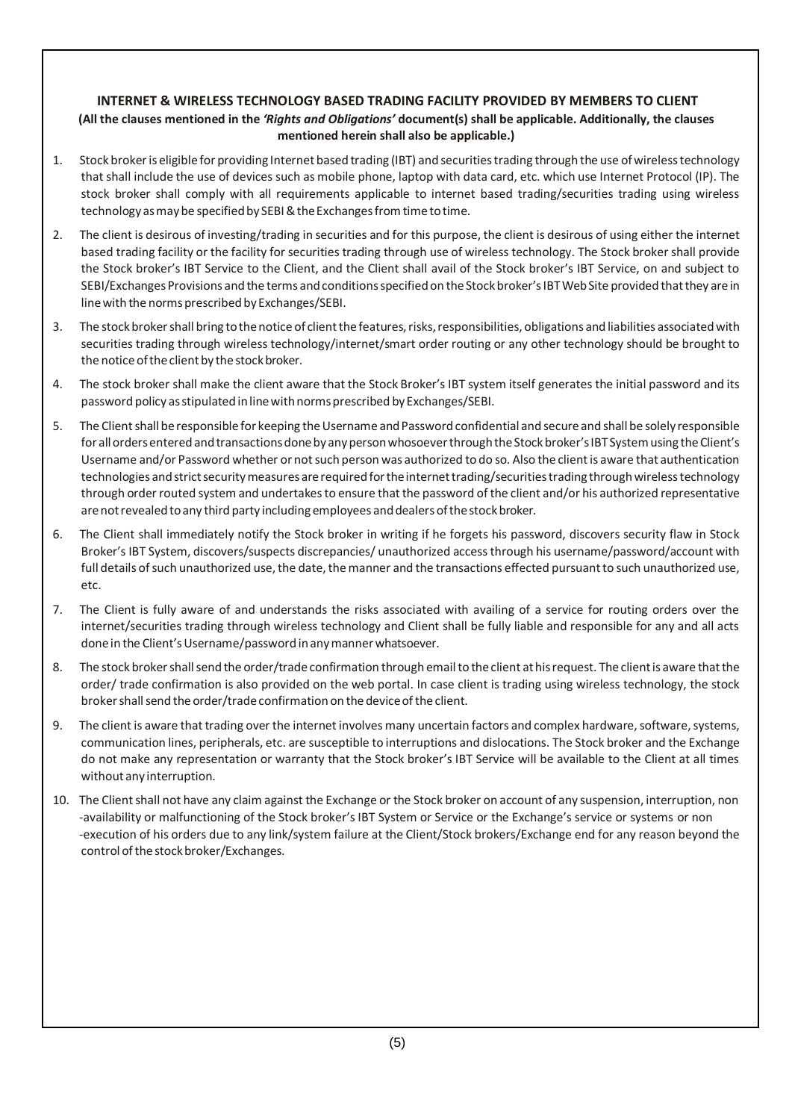# **INTERNET & WIRELESS TECHNOLOGY BASED TRADING FACILITY PROVIDED BY MEMBERS TO CLIENT** (All the clauses mentioned in the 'Rights and Obligations' document(s) shall be applicable. Additionally, the clauses **mentioned herein shall also be applicable.)**

- 1. Stock brokeris eligible for providing Internet based trading (IBT) and securitiestrading through the use ofwirelesstechnology that shall include the use of devices such as mobile phone, laptop with data card, etc. which use Internet Protocol (IP). The stock broker shall comply with all requirements applicable to internet based trading/securities trading using wireless technology as may be specified by SEBI & the Exchanges from time to time.
- 2. The client is desirous of investing/trading in securities and for this purpose, the client is desirous of using either the internet based trading facility or the facility for securities trading through use of wireless technology. The Stock broker shall provide the Stock broker's IBT Service to the Client, and the Client shall avail of the Stock broker's IBT Service, on and subject to SEBI/Exchanges Provisions and the terms and conditions specified on the Stock broker's IBT Web Site provided that they are in line with the norms prescribed by Exchanges/SEBI.
- 3. The stock broker shall bring to the notice of client the features, risks, responsibilities, obligations and liabilities associated with securities trading through wireless technology/internet/smart order routing or any other technology should be brought to the notice of the client by the stock broker.
- 4. The stock broker shall make the client aware that the Stock Broker's IBT system itself generates the initial password and its password policy asstipulatedinlinewithnormsprescribed byExchanges/SEBI.
- 5. The Clientshallberesponsible for keeping theUsername andPasswordconfidential and secureand shallbe solely responsible for all orders entered and transactions done by any person whosoever through the Stock broker's IBT System using the Client's Username and/or Password whether or not such person was authorized to do so. Also the client is aware that authentication technologies and strict security measures are required for the internet trading/securities trading through wireless technology through order routed system and undertakes to ensure that the password of the client and/or his authorized representative are not revealed to any third party including employees and dealers of the stock broker.
- 6. The Client shall immediately notify the Stock broker in writing if he forgets his password, discovers security flaw in Stock Broker's IBT System, discovers/suspects discrepancies/ unauthorized accessthrough his username/password/account with full details of such unauthorized use, the date, the manner and the transactions effected pursuant to such unauthorized use, etc.
- 7. The Client is fully aware of and understands the risks associated with availing of a service for routing orders over the internet/securities trading through wireless technology and Client shall be fully liable and responsible for any and all acts done in the Client's Username/password in any manner whatsoever.
- 8. The stock broker shall send the order/trade confirmation through email to the client at his request. The client is aware that the order/ trade confirmation is also provided on the web portal. In case client is trading using wireless technology, the stock broker shall send the order/trade confirmation on the device of the client.
- 9. The client is aware that trading over the internet involves many uncertain factors and complex hardware, software, systems, communication lines, peripherals, etc. are susceptible to interruptions and dislocations. The Stock broker and the Exchange do not make any representation or warranty that the Stock broker's IBT Service will be available to the Client at all times without any interruption.
- 10. The Client shall not have any claim against the Exchange or the Stock broker on account of any suspension, interruption, non -availability or malfunctioning of the Stock broker's IBT System or Service or the Exchange's service or systems or non -execution of his orders due to any link/system failure at the Client/Stock brokers/Exchange end for any reason beyond the control of the stock broker/Exchanges.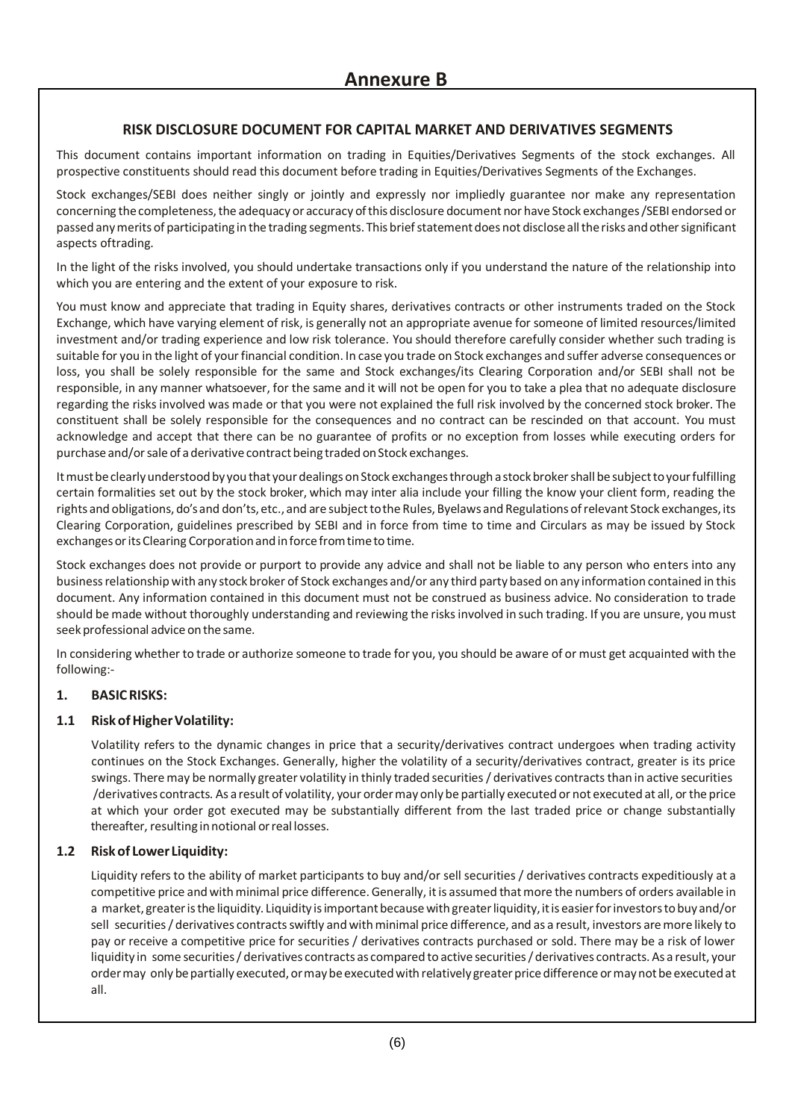# **RISK DISCLOSURE DOCUMENT FOR CAPITAL MARKET AND DERIVATIVES SEGMENTS**

This document contains important information on trading in Equities/Derivatives Segments of the stock exchanges. All prospective constituents should read this document before trading in Equities/Derivatives Segments of the Exchanges.

Stock exchanges/SEBI does neither singly or jointly and expressly nor impliedly guarantee nor make any representation concerning thecompleteness,the adequacy or accuracy ofthis disclosure document nor have Stock exchanges/SEBI endorsed or passed anymerits of participating in the trading segments. This briefstatementdoes not disclosealltherisks andothersignificant aspects oftrading.

In the light of the risks involved, you should undertake transactions only if you understand the nature of the relationship into which you are entering and the extent of your exposure to risk.

You must know and appreciate that trading in Equity shares, derivatives contracts or other instruments traded on the Stock Exchange, which have varying element of risk, is generally not an appropriate avenue for someone of limited resources/limited investment and/or trading experience and low risk tolerance. You should therefore carefully consider whether such trading is suitable for you in the light of your financial condition. In case you trade on Stock exchanges and suffer adverse consequences or loss, you shall be solely responsible for the same and Stock exchanges/its Clearing Corporation and/or SEBI shall not be responsible, in any manner whatsoever, for the same and it will not be open for you to take a plea that no adequate disclosure regarding the risks involved was made or that you were not explained the full risk involved by the concerned stock broker. The constituent shall be solely responsible for the consequences and no contract can be rescinded on that account. You must acknowledge and accept that there can be no guarantee of profits or no exception from losses while executing orders for purchase and/or sale of a derivative contract being traded on Stock exchanges.

It must be clearly understood by you that your dealings on Stock exchanges through a stock broker shall be subject to your fulfilling certain formalities set out by the stock broker, which may inter alia include your filling the know your client form, reading the rights and obligations, do's and don'ts, etc., and are subject to the Rules, Byelaws and Regulations of relevant Stock exchanges, its Clearing Corporation, guidelines prescribed by SEBI and in force from time to time and Circulars as may be issued by Stock exchanges or its Clearing Corporation and in force from time to time.

Stock exchanges does not provide or purport to provide any advice and shall not be liable to any person who enters into any businessrelationship with any stock broker of Stock exchanges and/or any third party based on any information contained in this document. Any information contained in this document must not be construed as business advice. No consideration to trade should be made without thoroughly understanding and reviewing the risksinvolved in such trading. If you are unsure, you must seek professional advice onthesame.

In considering whether to trade or authorize someone to trade for you, you should be aware of or must get acquainted with the following:-

#### **1. BASICRISKS:**

#### **1.1 RiskofHigherVolatility:**

Volatility refers to the dynamic changes in price that a security/derivatives contract undergoes when trading activity continues on the Stock Exchanges. Generally, higher the volatility of a security/derivatives contract, greater is its price swings. There may be normally greater volatility in thinly traded securities / derivatives contracts than in active securities /derivatives contracts. As aresult of volatility, your ordermay only be partially executed or not executed at all, or the price at which your order got executed may be substantially different from the last traded price or change substantially thereafter, resulting in notional or real losses.

#### **1.2 Riskof Lower Liquidity:**

Liquidity refersto the ability of market participants to buy and/or sell securities / derivatives contracts expeditiously at a competitive price and with minimal price difference. Generally, it is assumed that more the numbers of orders available in a market, greater is the liquidity. Liquidity is important because with greater liquidity, it is easier for investors to buy and/or sell securities / derivatives contracts swiftly and with minimal price difference, and as a result, investors are more likely to pay or receive a competitive price for securities / derivatives contracts purchased or sold. There may be a risk of lower liquidity in some securities/ derivatives contracts as compared to active securities/ derivatives contracts. As a result, your ordermay only bepartially executed, ormaybeexecutedwith relatively greater pricedifference ormaynotbeexecutedat all.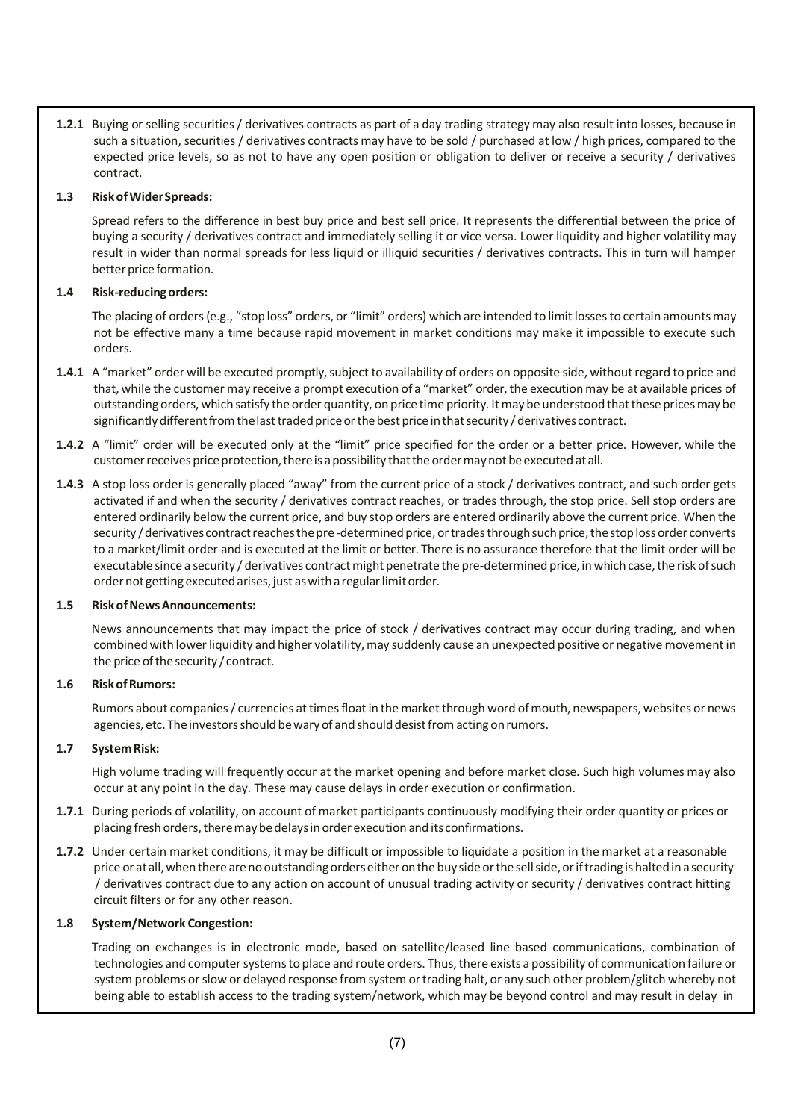**1.2.1** Buying or selling securities/ derivatives contracts as part of a day trading strategy may also result into losses, because in such a situation, securities / derivatives contracts may have to be sold / purchased at low / high prices, compared to the expected price levels, so as not to have any open position or obligation to deliver or receive a security / derivatives contract.

#### **1.3 RiskofWiderSpreads:**

Spread refers to the difference in best buy price and best sell price. It represents the differential between the price of buying a security / derivatives contract and immediately selling it or vice versa. Lower liquidity and higher volatility may result in wider than normal spreads for less liquid or illiquid securities / derivatives contracts. This in turn will hamper better price formation.

#### **1.4 Risk-reducingorders:**

The placing of orders(e.g., "stop loss" orders, or "limit" orders) which are intended to limitlossesto certain amounts may not be effective many a time because rapid movement in market conditions may make it impossible to execute such orders.

- **1.4.1** A "market" order will be executed promptly, subject to availability of orders on opposite side, without regard to price and that, while the customer may receive a prompt execution of a "market" order, the execution may be at available prices of outstanding orders, which satisfy the order quantity, on pricetime priority. Itmay be understood thatthese pricesmay be significantly different from the last traded price or the best price in that security / derivatives contract.
- **1.4.2** A "limit" order will be executed only at the "limit" price specified for the order or a better price. However, while the customer receives price protection, there is a possibility that the order may not be executed at all.
- **1.4.3** A stop loss order is generally placed "away" from the current price of a stock / derivatives contract, and such order gets activated if and when the security / derivatives contract reaches, or trades through, the stop price. Sell stop orders are entered ordinarily below the current price, and buy stop orders are entered ordinarily above the current price. When the security / derivatives contract reaches the pre-determined price, or trades through such price, the stop loss order converts to a market/limit order and is executed at the limit or better. There is no assurance therefore that the limit order will be executable since a security / derivatives contract might penetrate the pre-determined price, in which case, the risk of such order not getting executed arises, just as with a regular limit order.

#### **1.5 RiskofNewsAnnouncements:**

News announcements that may impact the price of stock / derivatives contract may occur during trading, and when combined with lower liquidity and higher volatility, may suddenly cause an unexpected positive or negative movement in the price of the security / contract.

#### **1.6 RiskofRumors:**

Rumors about companies / currencies at times float in the market through word of mouth, newspapers, websites or news agencies, etc. The investors should be wary of and should desist from acting on rumors.

#### **1.7 SystemRisk:**

High volume trading will frequently occur at the market opening and before market close. Such high volumes may also occur at any point in the day. These may cause delays in order execution or confirmation.

- **1.7.1** During periods of volatility, on account of market participants continuously modifying their order quantity or prices or placing fresh orders, there may be delays in order execution and its confirmations.
- **1.7.2** Under certain market conditions, it may be difficult or impossible to liquidate a position in the market at a reasonable price or at all, when there are no outstanding orders either on the buy side or the sell side, or if trading is halted in a security / derivatives contract due to any action on account of unusual trading activity or security / derivatives contract hitting circuit filters or for any other reason.

#### **1.8 System/Network Congestion:**

Trading on exchanges is in electronic mode, based on satellite/leased line based communications, combination of technologies and computer systems to place and route orders. Thus, there exists a possibility of communication failure or system problems or slow or delayed response from system or trading halt, or any such other problem/glitch whereby not being able to establish access to the trading system/network, which may be beyond control and may result in delay in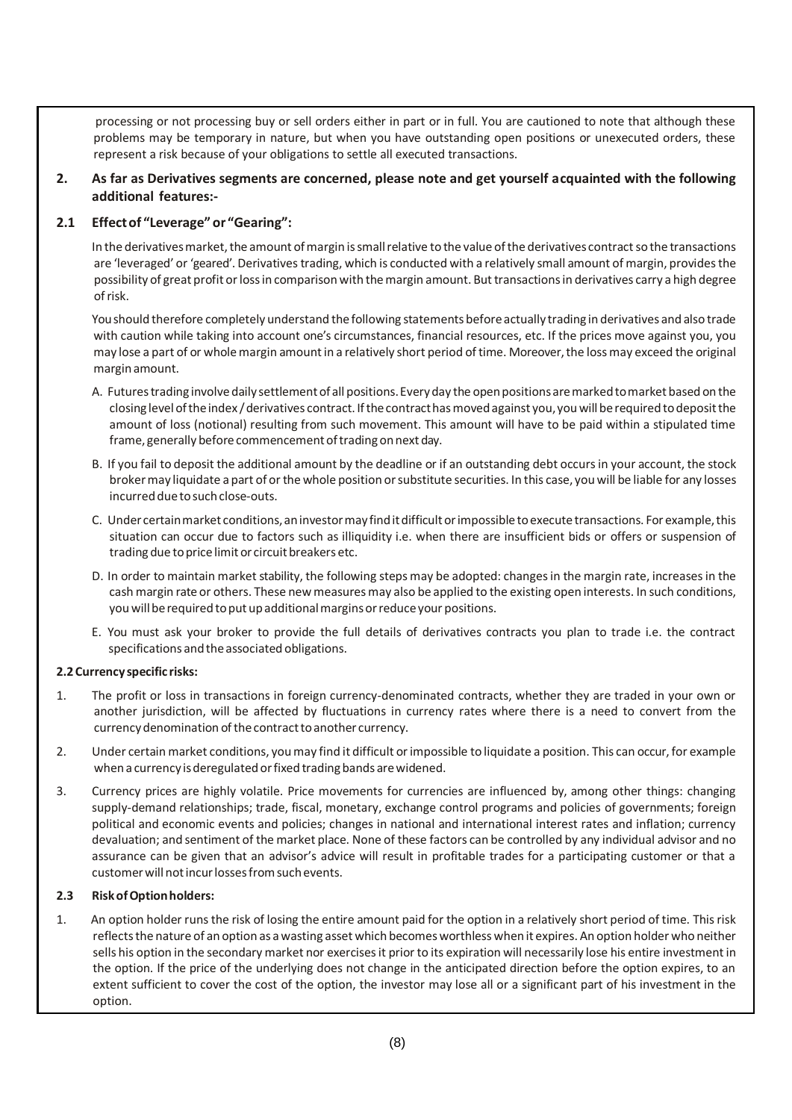processing or not processing buy or sell orders either in part or in full. You are cautioned to note that although these problems may be temporary in nature, but when you have outstanding open positions or unexecuted orders, these represent a risk because of your obligations to settle all executed transactions.

**2. As far as Derivatives segments are concerned, please note and get yourself acquainted with the following additional features:-**

### **2.1 Effectof "Leverage" or "Gearing":**

In the derivatives market, the amount of margin is small relative to the value of the derivatives contract so the transactions are 'leveraged' or 'geared'. Derivatives trading, which is conducted with a relatively small amount of margin, provides the possibility of great profit or loss in comparison with the margin amount. But transactions in derivatives carry a high degree ofrisk.

You should therefore completely understand the following statements before actually trading in derivatives and also trade with caution while taking into account one's circumstances, financial resources, etc. If the prices move against you, you may lose a part of or wholemargin amountin a relatively short period of time. Moreover,the lossmay exceed the original marginamount.

- A. Futures trading involve daily settlement of all positions. Every day the open positions are marked to market based on the closing level of the index / derivatives contract. If the contract has moved against you, you will be required to deposit the amount of loss (notional) resulting from such movement. This amount will have to be paid within a stipulated time frame, generally before commencement of trading on next day.
- B. If you fail to deposit the additional amount by the deadline or if an outstanding debt occursin your account, the stock brokermay liquidate a part of or the whole position orsubstitute securities. In this case, you will be liable for any losses incurred due to such close-outs.
- C. Under certain market conditions, an investor may find it difficult or impossible to execute transactions. For example, this situation can occur due to factors such as illiquidity i.e. when there are insufficient bids or offers or suspension of trading due to price limit or circuit breakers etc.
- D. In order to maintain market stability, the following steps may be adopted: changes in the margin rate, increases in the cash margin rate or others. These newmeasures may also be applied to the existing open interests. In such conditions, you will be required to put up additional margins or reduce your positions.
- E. You must ask your broker to provide the full details of derivatives contracts you plan to trade i.e. the contract specifications and the associated obligations.

#### **2.2 Currency specific risks:**

- 1. The profit or loss in transactions in foreign currency-denominated contracts, whether they are traded in your own or another jurisdiction, will be affected by fluctuations in currency rates where there is a need to convert from the currency denomination of the contract to another currency.
- 2. Under certain market conditions, youmay find it difficult or impossible to liquidate a position. This can occur, for example when a currency is deregulated or fixed trading bands are widened.
- 3. Currency prices are highly volatile. Price movements for currencies are influenced by, among other things: changing supply-demand relationships; trade, fiscal, monetary, exchange control programs and policies of governments; foreign political and economic events and policies; changes in national and international interest rates and inflation; currency devaluation; and sentiment of the market place. None of these factors can be controlled by any individual advisor and no assurance can be given that an advisor's advice will result in profitable trades for a participating customer or that a customer will not incur losses from such events.

#### **2.3 RiskofOptionholders:**

1. An option holder runsthe risk of losing the entire amount paid for the option in a relatively short period of time. Thisrisk reflectsthe nature of an option as a wasting asset which becomesworthless whenit expires. An option holder who neither sells his option in the secondary market nor exercisesit prior to its expiration will necessarily lose his entire investment in the option. If the price of the underlying does not change in the anticipated direction before the option expires, to an extent sufficient to cover the cost of the option, the investor may lose all or a significant part of his investment in the option.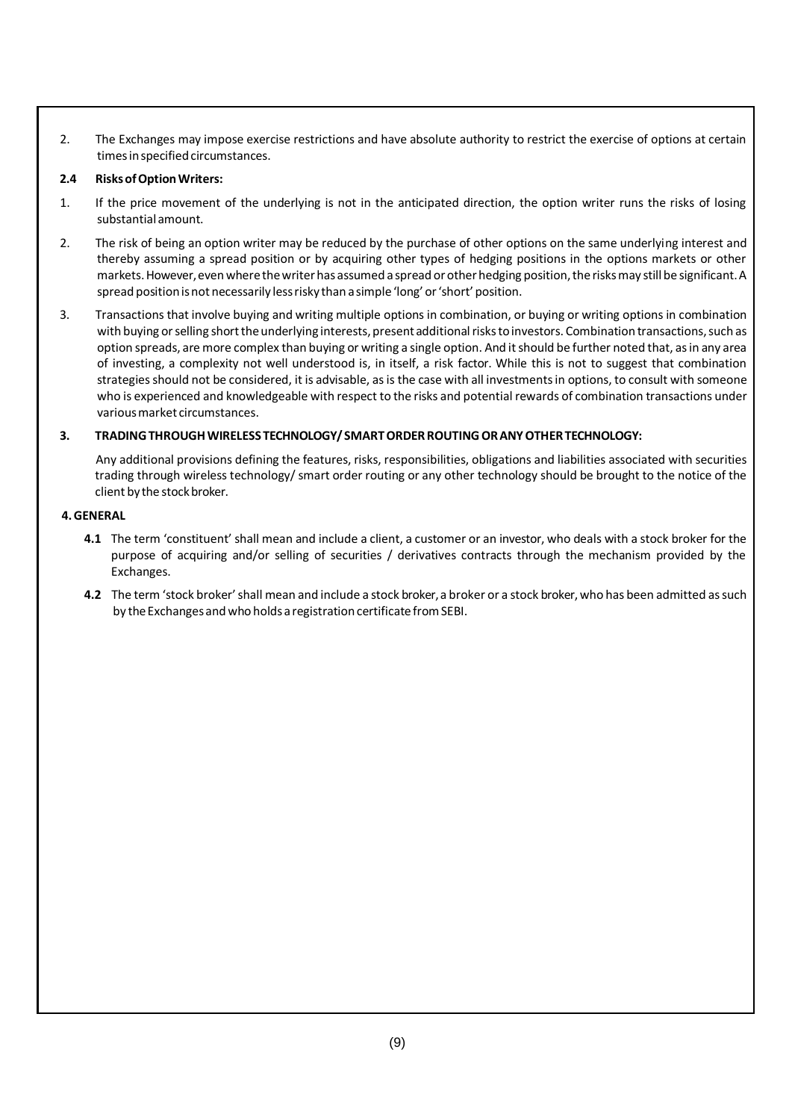2. The Exchanges may impose exercise restrictions and have absolute authority to restrict the exercise of options at certain times in specified circumstances.

#### **2.4 RisksofOptionWriters:**

- 1. If the price movement of the underlying is not in the anticipated direction, the option writer runs the risks of losing substantial amount.
- 2. The risk of being an option writer may be reduced by the purchase of other options on the same underlying interest and thereby assuming a spread position or by acquiring other types of hedging positions in the options markets or other markets. However, even where the writer has assumed a spread or other hedging position, the risks may still be significant. A spread position is not necessarily less risky than a simple 'long' or 'short' position.
- 3. Transactions that involve buying and writing multiple options in combination, or buying or writing options in combination with buying or selling short the underlying interests, present additional risks to investors. Combination transactions, such as option spreads, are more complex than buying or writing a single option. And it should be further noted that, as in any area of investing, a complexity not well understood is, in itself, a risk factor. While this is not to suggest that combination strategies should not be considered, it is advisable, as is the case with all investments in options, to consult with someone who is experienced and knowledgeable with respect to the risks and potential rewards of combination transactions under variousmarket circumstances.

### **3. TRADINGTHROUGHWIRELESS TECHNOLOGY/ SMARTORDERROUTINGORANYOTHERTECHNOLOGY:**

Any additional provisions defining the features, risks, responsibilities, obligations and liabilities associated with securities trading through wireless technology/ smart order routing or any other technology should be brought to the notice of the client by the stock broker.

#### **4.GENERAL**

- **4.1** The term 'constituent' shall mean and include a client, a customer or an investor, who deals with a stock broker for the purpose of acquiring and/or selling of securities / derivatives contracts through the mechanism provided by the Exchanges.
- **4.2** The term 'stock broker'shall mean and include a stock broker,a broker or a stock broker,who has been admitted assuch by the Exchanges and who holds a registration certificate from SEBI.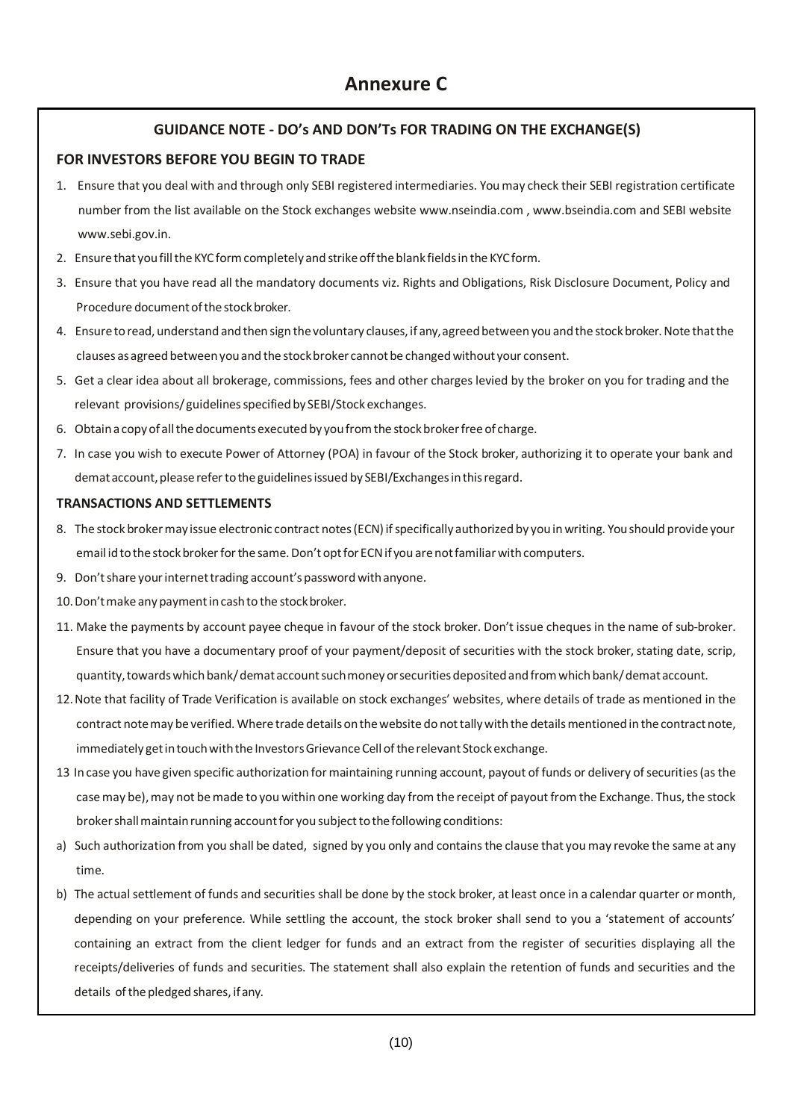# **GUIDANCE NOTE - DO's AND DON'Ts FOR TRADING ON THE EXCHANGE(S)**

# **FOR INVESTORS BEFORE YOU BEGIN TO TRADE**

- 1. Ensure that you deal with and through only SEBI registered intermediaries. You may check their SEBI registration certificate number from the list available on the Stock exchanges websit[e www.nseindia.com ,](http://www.nseindia.com/) [www.bseindia.com a](http://www.bseindia.com/)nd SEBI website [www.sebi.gov.in.](http://www.sebi.gov.in/)
- 2. Ensurethat youfilltheKYCformcompletely and strikeofftheblank fieldsin the KYCform.
- 3. Ensure that you have read all the mandatory documents viz. Rights and Obligations, Risk Disclosure Document, Policy and Procedure document of the stock broker.
- 4. Ensure to read, understand and then sign the voluntary clauses, if any, agreed between you and the stock broker. Note that the clauses as agreed between you and the stock broker cannot be changed without your consent.
- 5. Get a clear idea about all brokerage, commissions, fees and other charges levied by the broker on you for trading and the relevant provisions/guidelines specified by SEBI/Stock exchanges.
- 6. Obtain a copy of all the documents executed by you from the stock broker free of charge.
- 7. In case you wish to execute Power of Attorney (POA) in favour of the Stock broker, authorizing it to operate your bank and demat account, please refer to the guidelines issued by SEBI/Exchanges in this regard.

### **TRANSACTIONS AND SETTLEMENTS**

- 8. The stock broker may issue electronic contract notes (ECN) if specifically authorized by you in writing. You should provide your email id to the stock broker for the same. Don't opt for ECN if you are not familiar with computers.
- 9. Don't share your internet trading account's password with anyone.
- 10. Don't make any payment in cash to the stock broker.
- 11. Make the payments by account payee cheque in favour of the stock broker. Don't issue cheques in the name of sub-broker. Ensure that you have a documentary proof of your payment/deposit of securities with the stock broker, stating date, scrip, quantity,towardswhichbank/demataccountsuchmoneyorsecuritiesdepositedandfromwhichbank/demataccount.
- 12.Note that facility of Trade Verification is available on stock exchanges' websites, where details of trade as mentioned in the contract notemay beverified. Where trade details onthewebsite do nottallywith the detailsmentionedin thecontractnote, immediately get in touch with the Investors Grievance Cell of the relevant Stock exchange.
- 13 In case you have given specific authorization formaintaining running account, payout of funds or delivery ofsecurities(asthe case may be), may not be made to you within one working day from the receipt of payout from the Exchange. Thus, the stock broker shall maintain running account for you subject to the following conditions:
- a) Such authorization from you shall be dated, signed by you only and contains the clause that you may revoke the same at any time.
- b) The actual settlement of funds and securities shall be done by the stock broker, at least once in a calendar quarter or month, depending on your preference. While settling the account, the stock broker shall send to you a 'statement of accounts' containing an extract from the client ledger for funds and an extract from the register of securities displaying all the receipts/deliveries of funds and securities. The statement shall also explain the retention of funds and securities and the details of the pledged shares, if any.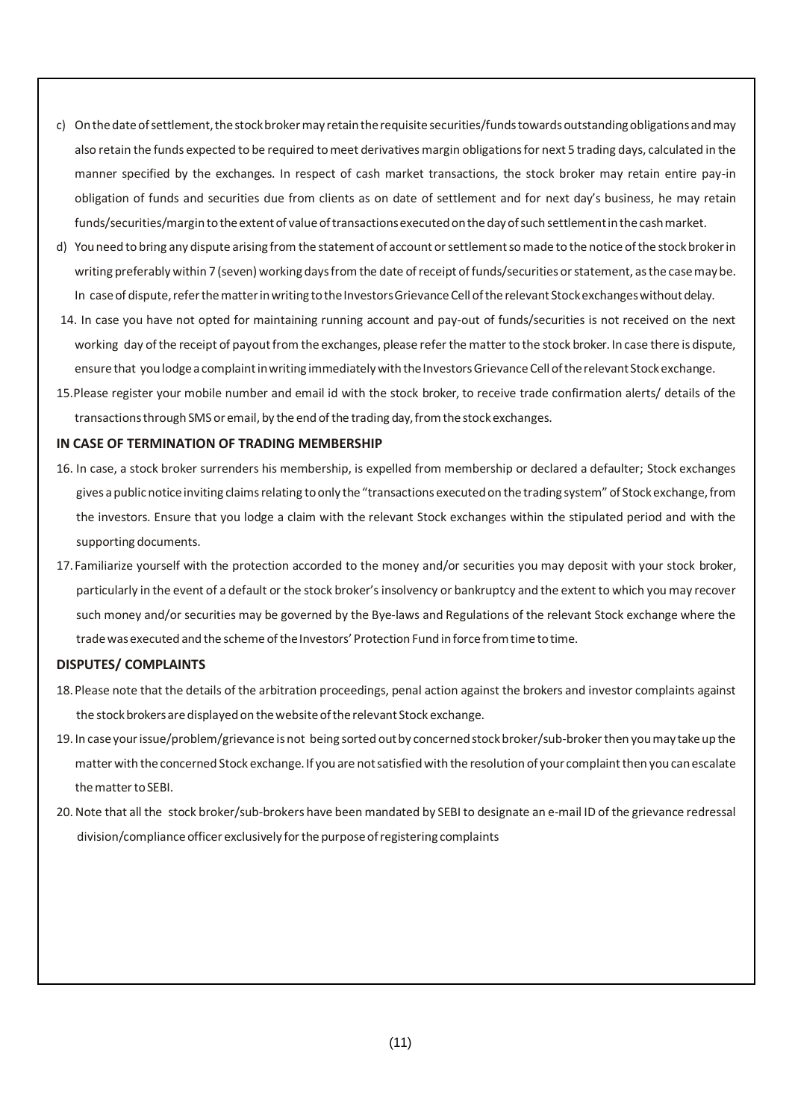- c) On the date of settlement, the stock broker may retain the requisite securities/funds towards outstanding obligations and may also retain the funds expected to be required tomeet derivatives margin obligationsfor next 5 trading days, calculated in the manner specified by the exchanges. In respect of cash market transactions, the stock broker may retain entire pay-in obligation of funds and securities due from clients as on date of settlement and for next day's business, he may retain funds/securities/margintotheextentof valueoftransactionsexecutedonthedayofsuch settlementinthecashmarket.
- d) Youneed to bring any dispute arising from the statement of account orsettlementsomade to the notice ofthe stockbrokerin writing preferably within 7 (seven) working days from the date of receipt of funds/securities or statement, as the case may be. In case of dispute, refer the matter in writing to the Investors Grievance Cell of the relevant Stock exchanges without delay.
- 14. In case you have not opted for maintaining running account and pay-out of funds/securities is not received on the next working day of the receipt of payout from the exchanges, please refer the matter to the stock broker. In case there is dispute, ensure that you lodge a complaint in writing immediately with the Investors Grievance Cell of the relevant Stock exchange.
- 15.Please register your mobile number and email id with the stock broker, to receive trade confirmation alerts/ details of the transactionsthrough SMS or email, by the end ofthe trading day,fromthestockexchanges.

#### **IN CASE OF TERMINATION OF TRADING MEMBERSHIP**

- 16. In case, a stock broker surrenders his membership, is expelled from membership or declared a defaulter; Stock exchanges gives a public notice inviting claims relating to only the "transactions executed on the trading system" of Stock exchange, from the investors. Ensure that you lodge a claim with the relevant Stock exchanges within the stipulated period and with the supporting documents.
- 17.Familiarize yourself with the protection accorded to the money and/or securities you may deposit with your stock broker, particularly in the event of a default or the stock broker'sinsolvency or bankruptcy and the extent to which you may recover such money and/or securities may be governed by the Bye-laws and Regulations of the relevant Stock exchange where the trade was executed and the scheme of the Investors' Protection Fund inforce from time to time.

#### **DISPUTES/ COMPLAINTS**

- 18.Please note that the details of the arbitration proceedings, penal action against the brokers and investor complaints against the stock brokers are displayed on the website of the relevant Stock exchange.
- 19. In caseyourissue/problem/grievance is not being sorted outby concernedstockbroker/sub-brokerthen youmay takeup the matter with theconcerned Stock exchange. If you are notsatisfiedwith the resolution of your complaintthen youcanescalate the matter to SEBI.
- 20.Note that all the stock broker/sub-brokers have been mandated by SEBI to designate an e-mail ID of the grievance redressal division/compliance officer exclusively for the purpose of registering complaints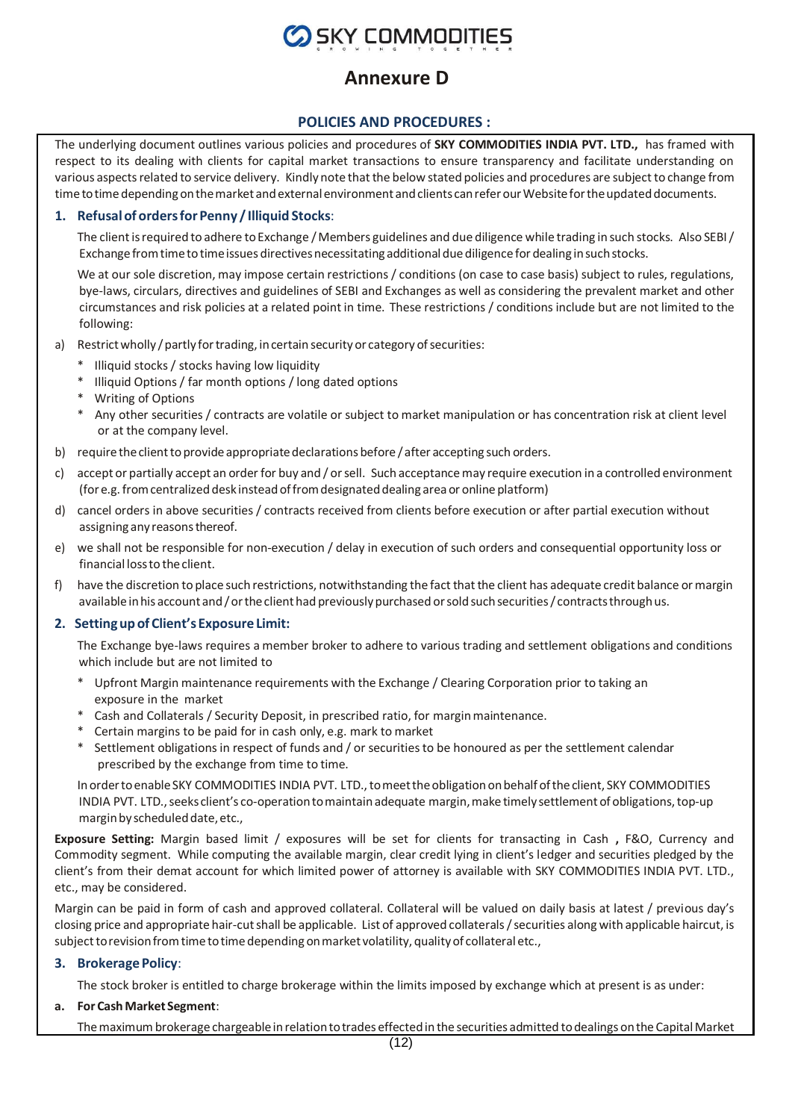

# **Annexure D**

### **POLICIES AND PROCEDURES :**

The underlying document outlines various policies and procedures of **SKY COMMODITIES INDIA PVT. LTD.,** has framed with respect to its dealing with clients for capital market transactions to ensure transparency and facilitate understanding on various aspects related to service delivery. Kindly note that the below stated policies and procedures are subject to change from time to time depending on the market and external environment and clients can refer our Website for the updated documents.

#### **1. Refusalof ordersforPenny / Illiquid Stocks**:

The client is required to adhere to Exchange / Members guidelines and due diligence while trading in such stocks. Also SEBI/ Exchange from time to time issues directives necessitating additional due diligence for dealing in such stocks.

We at our sole discretion, may impose certain restrictions / conditions (on case to case basis) subject to rules, regulations, bye-laws, circulars, directives and guidelines of SEBI and Exchanges as well as considering the prevalent market and other circumstances and risk policies at a related point in time. These restrictions / conditions include but are not limited to the following:

- a) Restrict wholly / partly for trading, in certain security or category of securities:
	- \* Illiquid stocks / stocks having low liquidity
	- \* Illiquid Options / far month options / long dated options
	- \* Writing of Options
	- \* Any other securities / contracts are volatile or subject to market manipulation or has concentration risk at client level or at the company level.
- b) require theclienttoprovide appropriatedeclarations before /after accepting such orders.
- c) accept or partially accept an order for buy and / orsell. Such acceptancemay require execution in a controlled environment (for e.g. fromcentralizeddesk insteadoffromdesignateddealing areaor online platform)
- d) cancel orders in above securities / contracts received from clients before execution or after partial execution without assigning any reasons thereof.
- e) we shall not be responsible for non-execution / delay in execution of such orders and consequential opportunity loss or financial lossto theclient.
- f) have the discretion to place such restrictions, notwithstanding the fact that the client has adequate credit balance or margin available in his account and / or the client had previously purchased or sold such securities/ contracts through us.

#### **2. Settingup of Client's Exposure Limit:**

The Exchange bye-laws requires a member broker to adhere to various trading and settlement obligations and conditions which include but are not limited to

- \* Upfront Margin maintenance requirements with the Exchange / Clearing Corporation prior to taking an exposure in the market
- \* Cash and Collaterals / Security Deposit, in prescribed ratio, for marginmaintenance.
- \* Certain margins to be paid for in cash only, e.g. mark to market
- \* Settlement obligationsin respect of funds and / or securitiesto be honoured as per the settlement calendar prescribed by the exchange from time to time.

In order to enable SKY COMMODITIES INDIA PVT. LTD., to meet the obligation on behalf of the client, SKY COMMODITIES INDIA PVT. LTD., seeks client's co-operation to maintain adequate margin, make timely settlement of obligations, top-up margin by scheduled date, etc.,

**Exposure Setting:** Margin based limit / exposures will be set for clients for transacting in Cash **,** F&O, Currency and Commodity segment. While computing the available margin, clear credit lying in client's ledger and securities pledged by the client's from their demat account for which limited power of attorney is available with SKY COMMODITIES INDIA PVT. LTD., etc., may be considered.

Margin can be paid in form of cash and approved collateral. Collateral will be valued on daily basis at latest / previous day's closing price and appropriate hair-cutshall be applicable. List of approved collaterals/securities along with applicable haircut, is subject to revision from time to time depending on market volatility, quality of collateral etc.,

#### **3. Brokerage Policy**:

The stock broker is entitled to charge brokerage within the limits imposed by exchange which at present is as under:

#### **a. For CashMarket Segment**:

The maximum brokerage chargeable in relation to trades effected in the securities admitted to dealings on the Capital Market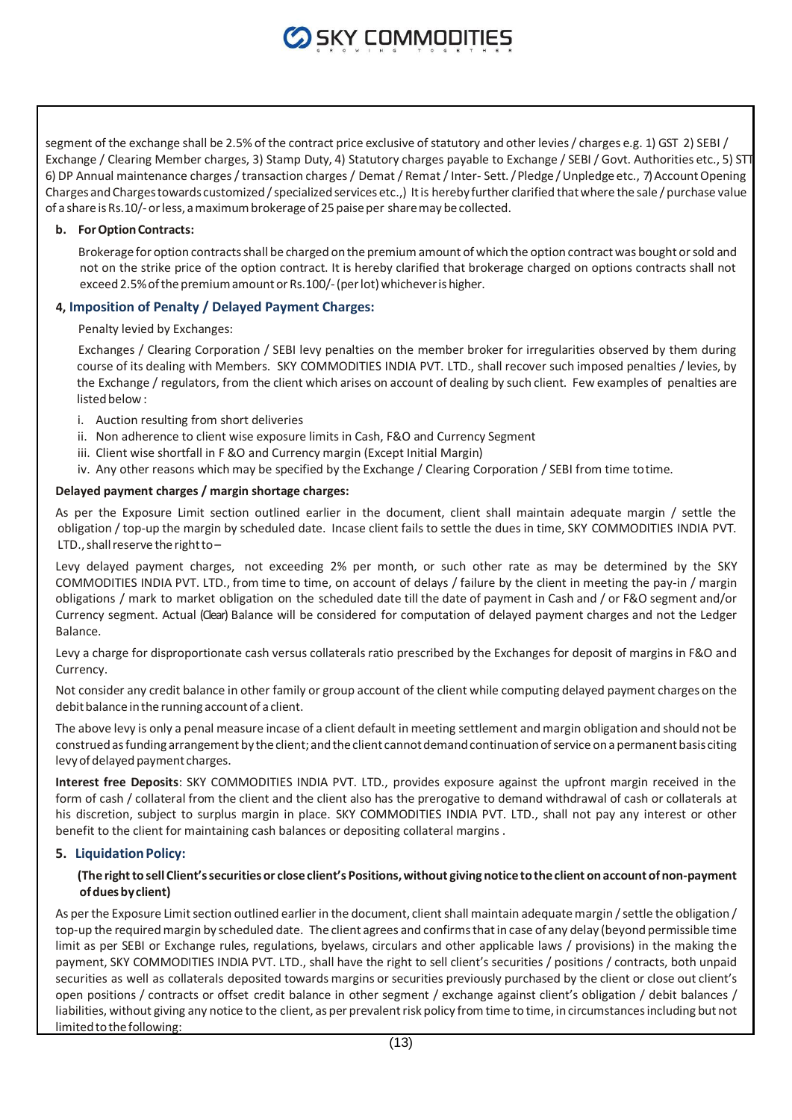segment of the exchange shall be 2.5% of the contract price exclusive of statutory and other levies / charges e.g. 1) GST 2) SEBI / Exchange / Clearing Member charges, 3) Stamp Duty, 4) Statutory charges payable to Exchange / SEBI / Govt. Authorities etc., 5) STT 6) DP Annual maintenance charges / transaction charges / Demat / Remat / Inter- Sett. / Pledge / Unpledge etc., 7) Account Opening Charges and Charges towards customized / specialized services etc.,) It is hereby further clarified that where the sale / purchase value of a share is Rs.10/- or less, a maximum brokerage of 25 paise per share may be collected.

#### **b. ForOptionContracts:**

Brokerage for option contractsshall be charged on the premiumamount of which the option contract was bought orsold and not on the strike price of the option contract. It is hereby clarified that brokerage charged on options contracts shall not exceed 2.5% of the premium amount or Rs.100/- (per lot) whichever is higher.

#### **4, Imposition of Penalty / Delayed Payment Charges:**

Penalty levied by Exchanges:

Exchanges / Clearing Corporation / SEBI levy penalties on the member broker for irregularities observed by them during course of its dealing with Members. SKY COMMODITIES INDIA PVT. LTD., shall recover such imposed penalties / levies, by the Exchange / regulators, from the client which arises on account of dealing by such client. Few examples of penalties are listed below:

- i. Auction resulting from short deliveries
- ii. Non adherence to client wise exposure limits in Cash, F&O and Currency Segment
- iii. Client wise shortfall in F &O and Currency margin (Except Initial Margin)
- iv. Any other reasons which may be specified by the Exchange / Clearing Corporation / SEBI from time totime.

#### **Delayed payment charges / margin shortage charges:**

As per the Exposure Limit section outlined earlier in the document, client shall maintain adequate margin / settle the obligation / top-up the margin by scheduled date. Incase client fails to settle the dues in time, SKY COMMODITIES INDIA PVT. LTD., shall reserve the right to $-$ 

Levy delayed payment charges, not exceeding 2% per month, or such other rate as may be determined by the SKY COMMODITIES INDIA PVT. LTD., from time to time, on account of delays / failure by the client in meeting the pay-in / margin obligations / mark to market obligation on the scheduled date till the date of payment in Cash and / or F&O segment and/or Currency segment. Actual (Clear) Balance will be considered for computation of delayed payment charges and not the Ledger Balance.

Levy a charge for disproportionate cash versus collaterals ratio prescribed by the Exchanges for deposit of margins in F&O and Currency.

Not consider any credit balance in other family or group account of the client while computing delayed payment charges on the debit balance in the running account of a client.

The above levy is only a penal measure incase of a client default in meeting settlement and margin obligation and should not be construed as funding arrangement by the client; and the client cannot demand continuation of service on a permanent basis citing levy of delayed payment charges.

**Interest free Deposits**: SKY COMMODITIES INDIA PVT. LTD., provides exposure against the upfront margin received in the form of cash / collateral from the client and the client also has the prerogative to demand withdrawal of cash or collaterals at his discretion, subject to surplus margin in place. SKY COMMODITIES INDIA PVT. LTD., shall not pay any interest or other benefit to the client for maintaining cash balances or depositing collateral margins .

#### **5. LiquidationPolicy:**

#### **(The rightto sell Client'ssecuritiesor closeclient's Positions,without giving noticetotheclient onaccountof non-payment ofduesbyclient)**

As per the Exposure Limit section outlined earlier in the document, client shall maintain adequate margin / settle the obligation / top-up the requiredmargin by scheduled date. The client agrees and confirmsthatin case of any delay (beyond permissible time limit as per SEBI or Exchange rules, regulations, byelaws, circulars and other applicable laws / provisions) in the making the payment, SKY COMMODITIES INDIA PVT. LTD., shall have the right to sell client's securities / positions / contracts, both unpaid securities as well as collaterals deposited towards margins or securities previously purchased by the client or close out client's open positions / contracts or offset credit balance in other segment / exchange against client's obligation / debit balances / liabilities, without giving any notice to the client, as per prevalent risk policy from time to time, in circumstances including but not limited to the following: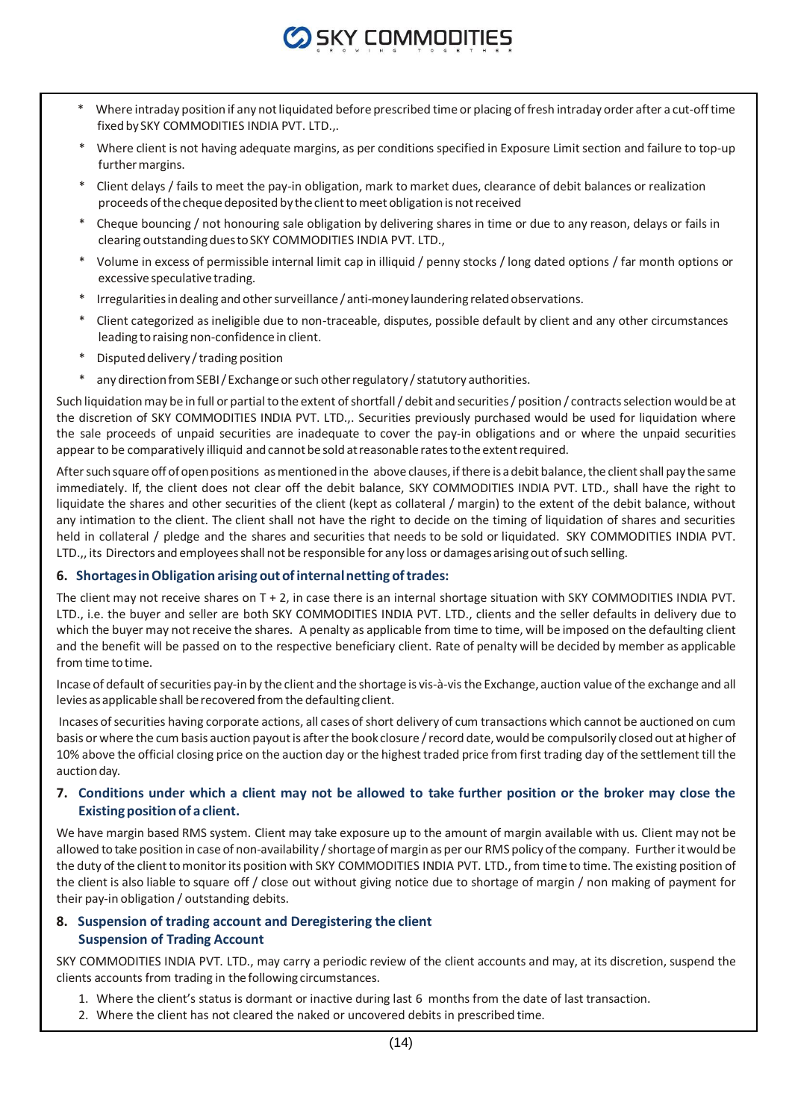

- Where intraday position if any not liquidated before prescribed time or placing of fresh intraday order after a cut-off time fixedby SKY COMMODITIES INDIA PVT. LTD.,.
- Where client is not having adequate margins, as per conditions specified in Exposure Limit section and failure to top-up further margins.
- \* Client delays / fails to meet the pay-in obligation, mark to market dues, clearance of debit balances or realization proceeds of the cheque deposited by the client to meet obligation is not received
- Cheque bouncing / not honouring sale obligation by delivering shares in time or due to any reason, delays or fails in clearing outstandingduestoSKY COMMODITIES INDIA PVT. LTD.,
- Volume in excess of permissible internal limit cap in illiquid / penny stocks / long dated options / far month options or excessive speculative trading.
- Irregularities in dealing and other surveillance / anti-money laundering related observations.
- Client categorized as ineligible due to non-traceable, disputes, possible default by client and any other circumstances leading to raising non-confidence in client.
- Disputed delivery / trading position
- \* any direction from SEBI/Exchange or such other regulatory / statutory authorities.

Such liquidation may be in full or partial to the extent of shortfall / debit and securities / position / contracts selection would be at the discretion of SKY COMMODITIES INDIA PVT. LTD.,. Securities previously purchased would be used for liquidation where the sale proceeds of unpaid securities are inadequate to cover the pay-in obligations and or where the unpaid securities appear to be comparatively illiquid and cannot be sold at reasonable rates to the extent required.

After such square off of open positions as mentioned in the above clauses, if there is a debit balance, the client shall pay the same immediately. If, the client does not clear off the debit balance, SKY COMMODITIES INDIA PVT. LTD., shall have the right to liquidate the shares and other securities of the client (kept as collateral / margin) to the extent of the debit balance, without any intimation to the client. The client shall not have the right to decide on the timing of liquidation of shares and securities held in collateral / pledge and the shares and securities that needs to be sold or liquidated. SKY COMMODITIES INDIA PVT. LTD.,, its Directors and employees shall not be responsible for any loss or damages arising out of such selling.

#### **6. ShortagesinObligation arising out ofinternalnetting oftrades:**

The client may not receive shares on T + 2, in case there is an internal shortage situation with SKY COMMODITIES INDIA PVT. LTD., i.e. the buyer and seller are both SKY COMMODITIES INDIA PVT. LTD., clients and the seller defaults in delivery due to which the buyer may not receive the shares. A penalty as applicable from time to time, will be imposed on the defaulting client and the benefit will be passed on to the respective beneficiary client. Rate of penalty will be decided by member as applicable fromtime totime.

Incase of default of securities pay-in by the client and the shortage is vis-à-vis the Exchange, auction value of the exchange and all levies asapplicable shall berecovered fromthe defaultingclient.

Incases of securities having corporate actions, all cases of short delivery of cum transactions which cannot be auctioned on cum basis or where the cumbasis auction payoutis afterthe book closure /record date,would be compulsorily closed out at higher of 10% above the official closing price on the auction day or the highest traded price from first trading day of the settlement till the auction day.

### **7. Conditions under which a client may not be allowed to take further position or the broker may close the Existingposition of a client.**

We have margin based RMS system. Client may take exposure up to the amount of margin available with us. Client may not be allowed to take position in case of non-availability / shortage of margin as per our RMS policy of the company. Further it would be the duty of the client to monitor its position with SKY COMMODITIES INDIA PVT. LTD., from time to time. The existing position of the client is also liable to square off / close out without giving notice due to shortage of margin / non making of payment for their pay-in obligation / outstanding debits.

# **8. Suspension of trading account and Deregistering the client Suspension of Trading Account**

SKY COMMODITIES INDIA PVT. LTD., may carry a periodic review of the client accounts and may, at its discretion, suspend the clients accounts from trading in thefollowing circumstances.

- 1. Where the client's status is dormant or inactive during last 6 months from the date of last transaction.
- 2. Where the client has not cleared the naked or uncovered debits in prescribed time.